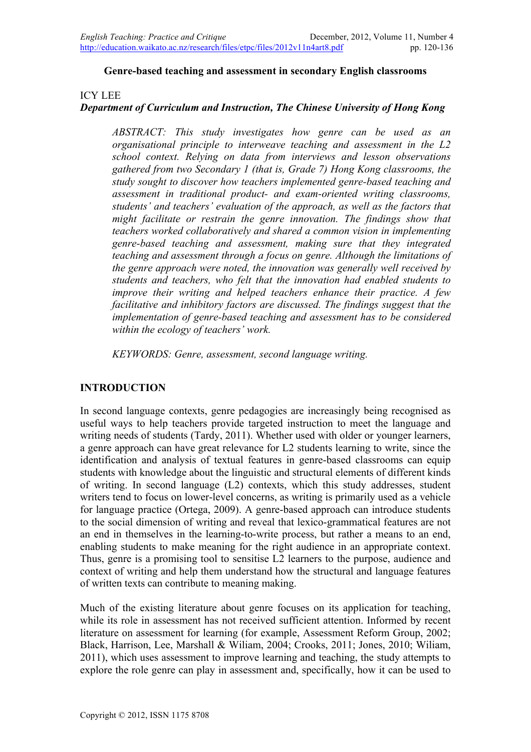#### **Genre-based teaching and assessment in secondary English classrooms**

#### ICY LEE

### *Department of Curriculum and Instruction, The Chinese University of Hong Kong*

*ABSTRACT: This study investigates how genre can be used as an organisational principle to interweave teaching and assessment in the L2 school context. Relying on data from interviews and lesson observations gathered from two Secondary 1 (that is, Grade 7) Hong Kong classrooms, the study sought to discover how teachers implemented genre-based teaching and assessment in traditional product- and exam-oriented writing classrooms, students' and teachers' evaluation of the approach, as well as the factors that might facilitate or restrain the genre innovation. The findings show that teachers worked collaboratively and shared a common vision in implementing genre-based teaching and assessment, making sure that they integrated teaching and assessment through a focus on genre. Although the limitations of the genre approach were noted, the innovation was generally well received by students and teachers, who felt that the innovation had enabled students to improve their writing and helped teachers enhance their practice. A few facilitative and inhibitory factors are discussed. The findings suggest that the implementation of genre-based teaching and assessment has to be considered within the ecology of teachers' work.* 

*KEYWORDS: Genre, assessment, second language writing.*

### **INTRODUCTION**

In second language contexts, genre pedagogies are increasingly being recognised as useful ways to help teachers provide targeted instruction to meet the language and writing needs of students (Tardy, 2011). Whether used with older or younger learners, a genre approach can have great relevance for L2 students learning to write, since the identification and analysis of textual features in genre-based classrooms can equip students with knowledge about the linguistic and structural elements of different kinds of writing. In second language (L2) contexts, which this study addresses, student writers tend to focus on lower-level concerns, as writing is primarily used as a vehicle for language practice (Ortega, 2009). A genre-based approach can introduce students to the social dimension of writing and reveal that lexico-grammatical features are not an end in themselves in the learning-to-write process, but rather a means to an end, enabling students to make meaning for the right audience in an appropriate context. Thus, genre is a promising tool to sensitise L2 learners to the purpose, audience and context of writing and help them understand how the structural and language features of written texts can contribute to meaning making.

Much of the existing literature about genre focuses on its application for teaching, while its role in assessment has not received sufficient attention. Informed by recent literature on assessment for learning (for example, Assessment Reform Group, 2002; Black, Harrison, Lee, Marshall & Wiliam, 2004; Crooks, 2011; Jones, 2010; Wiliam, 2011), which uses assessment to improve learning and teaching, the study attempts to explore the role genre can play in assessment and, specifically, how it can be used to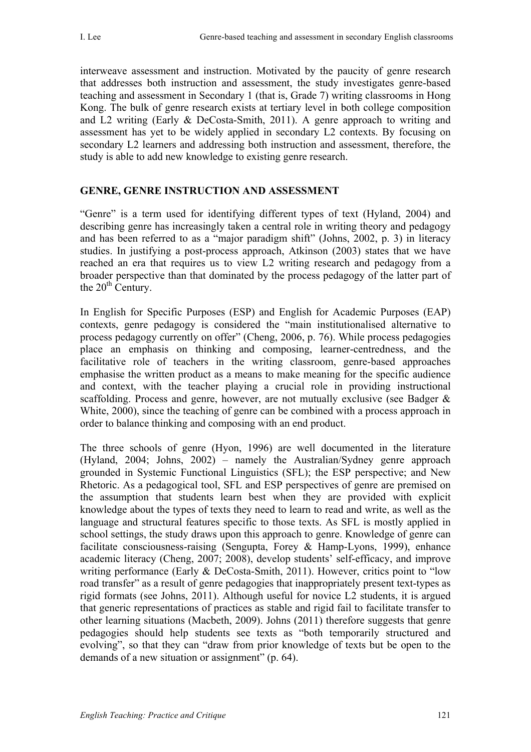interweave assessment and instruction. Motivated by the paucity of genre research that addresses both instruction and assessment, the study investigates genre-based teaching and assessment in Secondary 1 (that is, Grade 7) writing classrooms in Hong Kong. The bulk of genre research exists at tertiary level in both college composition and L2 writing (Early & DeCosta-Smith, 2011). A genre approach to writing and assessment has yet to be widely applied in secondary L2 contexts. By focusing on secondary L2 learners and addressing both instruction and assessment, therefore, the study is able to add new knowledge to existing genre research.

### **GENRE, GENRE INSTRUCTION AND ASSESSMENT**

"Genre" is a term used for identifying different types of text (Hyland, 2004) and describing genre has increasingly taken a central role in writing theory and pedagogy and has been referred to as a "major paradigm shift" (Johns, 2002, p. 3) in literacy studies. In justifying a post-process approach, Atkinson (2003) states that we have reached an era that requires us to view L2 writing research and pedagogy from a broader perspective than that dominated by the process pedagogy of the latter part of the  $20<sup>th</sup>$  Century.

In English for Specific Purposes (ESP) and English for Academic Purposes (EAP) contexts, genre pedagogy is considered the "main institutionalised alternative to process pedagogy currently on offer" (Cheng, 2006, p. 76). While process pedagogies place an emphasis on thinking and composing, learner-centredness, and the facilitative role of teachers in the writing classroom, genre-based approaches emphasise the written product as a means to make meaning for the specific audience and context, with the teacher playing a crucial role in providing instructional scaffolding. Process and genre, however, are not mutually exclusive (see Badger & White, 2000), since the teaching of genre can be combined with a process approach in order to balance thinking and composing with an end product.

The three schools of genre (Hyon, 1996) are well documented in the literature (Hyland, 2004; Johns, 2002) – namely the Australian/Sydney genre approach grounded in Systemic Functional Linguistics (SFL); the ESP perspective; and New Rhetoric. As a pedagogical tool, SFL and ESP perspectives of genre are premised on the assumption that students learn best when they are provided with explicit knowledge about the types of texts they need to learn to read and write, as well as the language and structural features specific to those texts. As SFL is mostly applied in school settings, the study draws upon this approach to genre. Knowledge of genre can facilitate consciousness-raising (Sengupta, Forey & Hamp-Lyons, 1999), enhance academic literacy (Cheng, 2007; 2008), develop students' self-efficacy, and improve writing performance (Early & DeCosta-Smith, 2011). However, critics point to "low road transfer" as a result of genre pedagogies that inappropriately present text-types as rigid formats (see Johns, 2011). Although useful for novice L2 students, it is argued that generic representations of practices as stable and rigid fail to facilitate transfer to other learning situations (Macbeth, 2009). Johns (2011) therefore suggests that genre pedagogies should help students see texts as "both temporarily structured and evolving", so that they can "draw from prior knowledge of texts but be open to the demands of a new situation or assignment" (p. 64).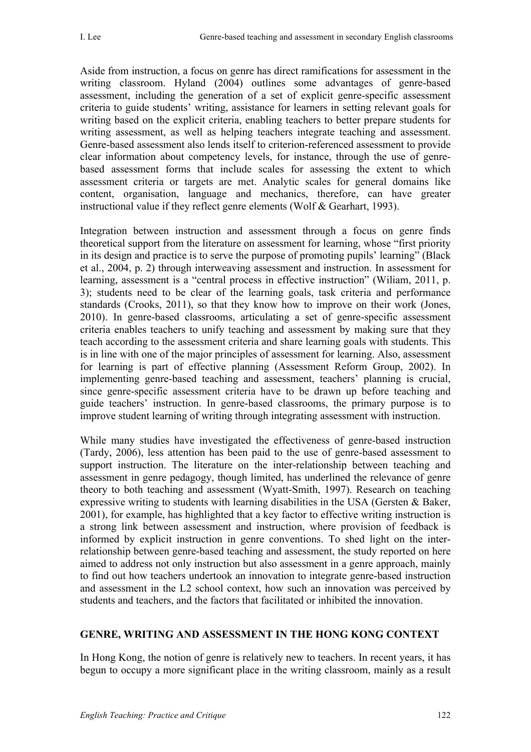Aside from instruction, a focus on genre has direct ramifications for assessment in the writing classroom. Hyland (2004) outlines some advantages of genre-based assessment, including the generation of a set of explicit genre-specific assessment criteria to guide students' writing, assistance for learners in setting relevant goals for writing based on the explicit criteria, enabling teachers to better prepare students for writing assessment, as well as helping teachers integrate teaching and assessment. Genre-based assessment also lends itself to criterion-referenced assessment to provide clear information about competency levels, for instance, through the use of genrebased assessment forms that include scales for assessing the extent to which assessment criteria or targets are met. Analytic scales for general domains like content, organisation, language and mechanics, therefore, can have greater instructional value if they reflect genre elements (Wolf & Gearhart, 1993).

Integration between instruction and assessment through a focus on genre finds theoretical support from the literature on assessment for learning, whose "first priority in its design and practice is to serve the purpose of promoting pupils' learning" (Black et al., 2004, p. 2) through interweaving assessment and instruction. In assessment for learning, assessment is a "central process in effective instruction" (Wiliam, 2011, p. 3); students need to be clear of the learning goals, task criteria and performance standards (Crooks, 2011), so that they know how to improve on their work (Jones, 2010). In genre-based classrooms, articulating a set of genre-specific assessment criteria enables teachers to unify teaching and assessment by making sure that they teach according to the assessment criteria and share learning goals with students. This is in line with one of the major principles of assessment for learning. Also, assessment for learning is part of effective planning (Assessment Reform Group, 2002). In implementing genre-based teaching and assessment, teachers' planning is crucial, since genre-specific assessment criteria have to be drawn up before teaching and guide teachers' instruction. In genre-based classrooms, the primary purpose is to improve student learning of writing through integrating assessment with instruction.

While many studies have investigated the effectiveness of genre-based instruction (Tardy, 2006), less attention has been paid to the use of genre-based assessment to support instruction. The literature on the inter-relationship between teaching and assessment in genre pedagogy, though limited, has underlined the relevance of genre theory to both teaching and assessment (Wyatt-Smith, 1997). Research on teaching expressive writing to students with learning disabilities in the USA (Gersten  $\&$  Baker, 2001), for example, has highlighted that a key factor to effective writing instruction is a strong link between assessment and instruction, where provision of feedback is informed by explicit instruction in genre conventions. To shed light on the interrelationship between genre-based teaching and assessment, the study reported on here aimed to address not only instruction but also assessment in a genre approach, mainly to find out how teachers undertook an innovation to integrate genre-based instruction and assessment in the L2 school context, how such an innovation was perceived by students and teachers, and the factors that facilitated or inhibited the innovation.

# **GENRE, WRITING AND ASSESSMENT IN THE HONG KONG CONTEXT**

In Hong Kong, the notion of genre is relatively new to teachers. In recent years, it has begun to occupy a more significant place in the writing classroom, mainly as a result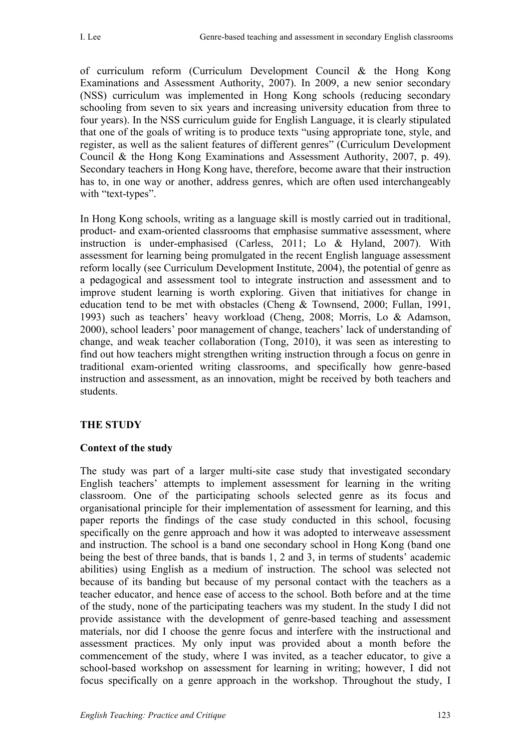of curriculum reform (Curriculum Development Council & the Hong Kong Examinations and Assessment Authority, 2007). In 2009, a new senior secondary (NSS) curriculum was implemented in Hong Kong schools (reducing secondary schooling from seven to six years and increasing university education from three to four years). In the NSS curriculum guide for English Language, it is clearly stipulated that one of the goals of writing is to produce texts "using appropriate tone, style, and register, as well as the salient features of different genres" (Curriculum Development Council & the Hong Kong Examinations and Assessment Authority, 2007, p. 49). Secondary teachers in Hong Kong have, therefore, become aware that their instruction has to, in one way or another, address genres, which are often used interchangeably with "text-types".

In Hong Kong schools, writing as a language skill is mostly carried out in traditional, product- and exam-oriented classrooms that emphasise summative assessment, where instruction is under-emphasised (Carless, 2011; Lo & Hyland, 2007). With assessment for learning being promulgated in the recent English language assessment reform locally (see Curriculum Development Institute, 2004), the potential of genre as a pedagogical and assessment tool to integrate instruction and assessment and to improve student learning is worth exploring. Given that initiatives for change in education tend to be met with obstacles (Cheng & Townsend, 2000; Fullan, 1991, 1993) such as teachers' heavy workload (Cheng, 2008; Morris, Lo & Adamson, 2000), school leaders' poor management of change, teachers' lack of understanding of change, and weak teacher collaboration (Tong, 2010), it was seen as interesting to find out how teachers might strengthen writing instruction through a focus on genre in traditional exam-oriented writing classrooms, and specifically how genre-based instruction and assessment, as an innovation, might be received by both teachers and students.

# **THE STUDY**

### **Context of the study**

The study was part of a larger multi-site case study that investigated secondary English teachers' attempts to implement assessment for learning in the writing classroom. One of the participating schools selected genre as its focus and organisational principle for their implementation of assessment for learning, and this paper reports the findings of the case study conducted in this school, focusing specifically on the genre approach and how it was adopted to interweave assessment and instruction. The school is a band one secondary school in Hong Kong (band one being the best of three bands, that is bands 1, 2 and 3, in terms of students' academic abilities) using English as a medium of instruction. The school was selected not because of its banding but because of my personal contact with the teachers as a teacher educator, and hence ease of access to the school. Both before and at the time of the study, none of the participating teachers was my student. In the study I did not provide assistance with the development of genre-based teaching and assessment materials, nor did I choose the genre focus and interfere with the instructional and assessment practices. My only input was provided about a month before the commencement of the study, where I was invited, as a teacher educator, to give a school-based workshop on assessment for learning in writing; however, I did not focus specifically on a genre approach in the workshop. Throughout the study, I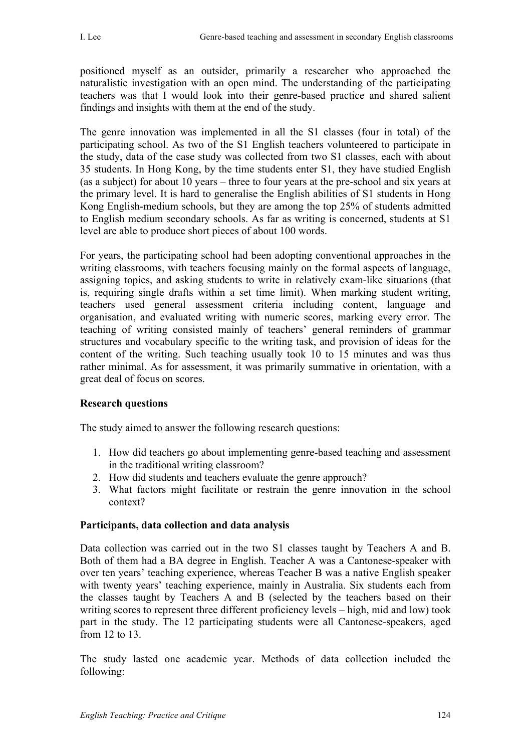positioned myself as an outsider, primarily a researcher who approached the naturalistic investigation with an open mind. The understanding of the participating teachers was that I would look into their genre-based practice and shared salient findings and insights with them at the end of the study.

The genre innovation was implemented in all the S1 classes (four in total) of the participating school. As two of the S1 English teachers volunteered to participate in the study, data of the case study was collected from two S1 classes, each with about 35 students. In Hong Kong, by the time students enter S1, they have studied English (as a subject) for about 10 years – three to four years at the pre-school and six years at the primary level. It is hard to generalise the English abilities of S1 students in Hong Kong English-medium schools, but they are among the top 25% of students admitted to English medium secondary schools. As far as writing is concerned, students at S1 level are able to produce short pieces of about 100 words.

For years, the participating school had been adopting conventional approaches in the writing classrooms, with teachers focusing mainly on the formal aspects of language, assigning topics, and asking students to write in relatively exam-like situations (that is, requiring single drafts within a set time limit). When marking student writing, teachers used general assessment criteria including content, language and organisation, and evaluated writing with numeric scores, marking every error. The teaching of writing consisted mainly of teachers' general reminders of grammar structures and vocabulary specific to the writing task, and provision of ideas for the content of the writing. Such teaching usually took 10 to 15 minutes and was thus rather minimal. As for assessment, it was primarily summative in orientation, with a great deal of focus on scores.

# **Research questions**

The study aimed to answer the following research questions:

- 1. How did teachers go about implementing genre-based teaching and assessment in the traditional writing classroom?
- 2. How did students and teachers evaluate the genre approach?
- 3. What factors might facilitate or restrain the genre innovation in the school context?

### **Participants, data collection and data analysis**

Data collection was carried out in the two S1 classes taught by Teachers A and B. Both of them had a BA degree in English. Teacher A was a Cantonese-speaker with over ten years' teaching experience, whereas Teacher B was a native English speaker with twenty years' teaching experience, mainly in Australia. Six students each from the classes taught by Teachers A and B (selected by the teachers based on their writing scores to represent three different proficiency levels – high, mid and low) took part in the study. The 12 participating students were all Cantonese-speakers, aged from 12 to 13.

The study lasted one academic year. Methods of data collection included the following: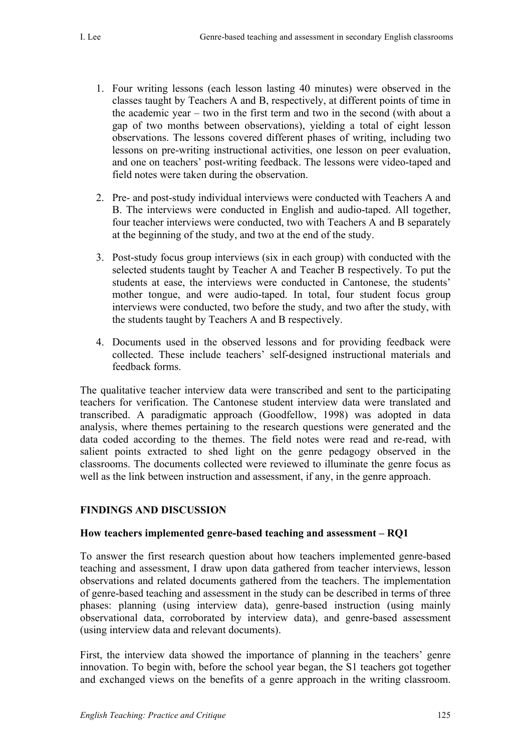- 1. Four writing lessons (each lesson lasting 40 minutes) were observed in the classes taught by Teachers A and B, respectively, at different points of time in the academic year – two in the first term and two in the second (with about a gap of two months between observations), yielding a total of eight lesson observations. The lessons covered different phases of writing, including two lessons on pre-writing instructional activities, one lesson on peer evaluation, and one on teachers' post-writing feedback. The lessons were video-taped and field notes were taken during the observation.
- 2. Pre- and post-study individual interviews were conducted with Teachers A and B. The interviews were conducted in English and audio-taped. All together, four teacher interviews were conducted, two with Teachers A and B separately at the beginning of the study, and two at the end of the study.
- 3. Post-study focus group interviews (six in each group) with conducted with the selected students taught by Teacher A and Teacher B respectively. To put the students at ease, the interviews were conducted in Cantonese, the students' mother tongue, and were audio-taped. In total, four student focus group interviews were conducted, two before the study, and two after the study, with the students taught by Teachers A and B respectively.
- 4. Documents used in the observed lessons and for providing feedback were collected. These include teachers' self-designed instructional materials and feedback forms.

The qualitative teacher interview data were transcribed and sent to the participating teachers for verification. The Cantonese student interview data were translated and transcribed. A paradigmatic approach (Goodfellow, 1998) was adopted in data analysis, where themes pertaining to the research questions were generated and the data coded according to the themes. The field notes were read and re-read, with salient points extracted to shed light on the genre pedagogy observed in the classrooms. The documents collected were reviewed to illuminate the genre focus as well as the link between instruction and assessment, if any, in the genre approach.

# **FINDINGS AND DISCUSSION**

# **How teachers implemented genre-based teaching and assessment – RQ1**

To answer the first research question about how teachers implemented genre-based teaching and assessment, I draw upon data gathered from teacher interviews, lesson observations and related documents gathered from the teachers. The implementation of genre-based teaching and assessment in the study can be described in terms of three phases: planning (using interview data), genre-based instruction (using mainly observational data, corroborated by interview data), and genre-based assessment (using interview data and relevant documents).

First, the interview data showed the importance of planning in the teachers' genre innovation. To begin with, before the school year began, the S1 teachers got together and exchanged views on the benefits of a genre approach in the writing classroom.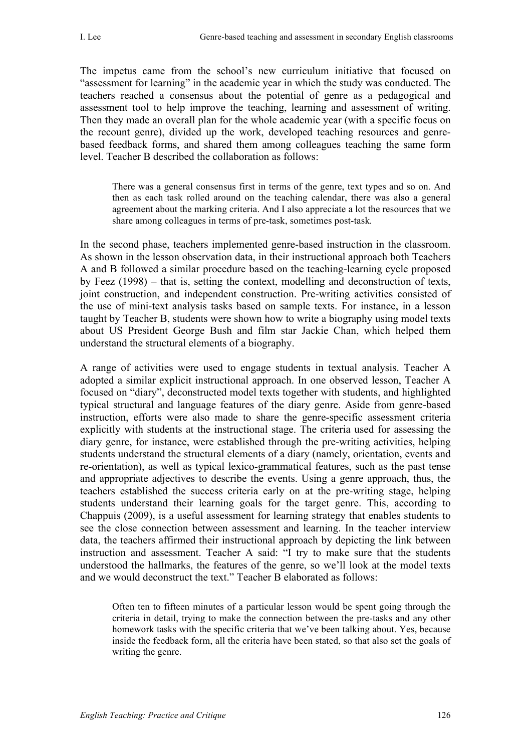The impetus came from the school's new curriculum initiative that focused on "assessment for learning" in the academic year in which the study was conducted. The teachers reached a consensus about the potential of genre as a pedagogical and assessment tool to help improve the teaching, learning and assessment of writing. Then they made an overall plan for the whole academic year (with a specific focus on the recount genre), divided up the work, developed teaching resources and genrebased feedback forms, and shared them among colleagues teaching the same form level. Teacher B described the collaboration as follows:

There was a general consensus first in terms of the genre, text types and so on. And then as each task rolled around on the teaching calendar, there was also a general agreement about the marking criteria. And I also appreciate a lot the resources that we share among colleagues in terms of pre-task, sometimes post-task*.*

In the second phase, teachers implemented genre-based instruction in the classroom. As shown in the lesson observation data, in their instructional approach both Teachers A and B followed a similar procedure based on the teaching-learning cycle proposed by Feez (1998) – that is, setting the context, modelling and deconstruction of texts, joint construction, and independent construction. Pre-writing activities consisted of the use of mini-text analysis tasks based on sample texts. For instance, in a lesson taught by Teacher B, students were shown how to write a biography using model texts about US President George Bush and film star Jackie Chan, which helped them understand the structural elements of a biography.

A range of activities were used to engage students in textual analysis. Teacher A adopted a similar explicit instructional approach. In one observed lesson, Teacher A focused on "diary", deconstructed model texts together with students, and highlighted typical structural and language features of the diary genre. Aside from genre-based instruction, efforts were also made to share the genre-specific assessment criteria explicitly with students at the instructional stage. The criteria used for assessing the diary genre, for instance, were established through the pre-writing activities, helping students understand the structural elements of a diary (namely, orientation, events and re-orientation), as well as typical lexico-grammatical features, such as the past tense and appropriate adjectives to describe the events. Using a genre approach, thus, the teachers established the success criteria early on at the pre-writing stage, helping students understand their learning goals for the target genre. This, according to Chappuis (2009), is a useful assessment for learning strategy that enables students to see the close connection between assessment and learning. In the teacher interview data, the teachers affirmed their instructional approach by depicting the link between instruction and assessment. Teacher A said: "I try to make sure that the students understood the hallmarks, the features of the genre, so we'll look at the model texts and we would deconstruct the text." Teacher B elaborated as follows:

Often ten to fifteen minutes of a particular lesson would be spent going through the criteria in detail, trying to make the connection between the pre-tasks and any other homework tasks with the specific criteria that we've been talking about. Yes, because inside the feedback form, all the criteria have been stated, so that also set the goals of writing the genre.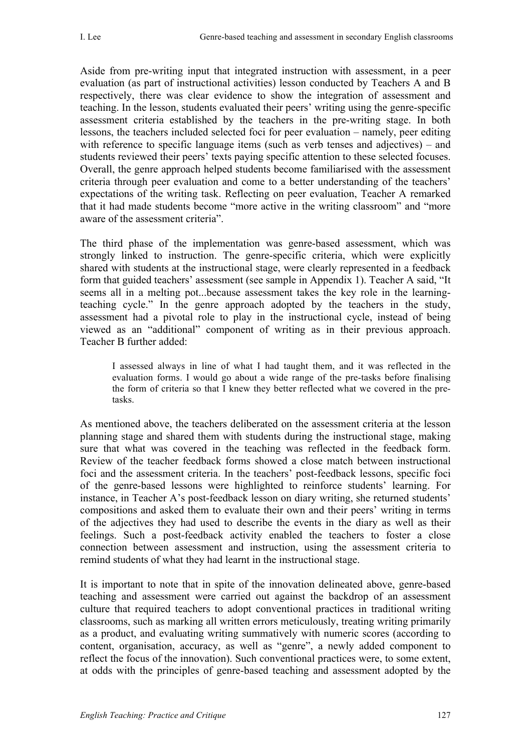Aside from pre-writing input that integrated instruction with assessment, in a peer evaluation (as part of instructional activities) lesson conducted by Teachers A and B respectively, there was clear evidence to show the integration of assessment and teaching. In the lesson, students evaluated their peers' writing using the genre-specific assessment criteria established by the teachers in the pre-writing stage. In both lessons, the teachers included selected foci for peer evaluation – namely, peer editing with reference to specific language items (such as verb tenses and adjectives) – and students reviewed their peers' texts paying specific attention to these selected focuses. Overall, the genre approach helped students become familiarised with the assessment criteria through peer evaluation and come to a better understanding of the teachers' expectations of the writing task. Reflecting on peer evaluation, Teacher A remarked that it had made students become "more active in the writing classroom" and "more aware of the assessment criteria".

The third phase of the implementation was genre-based assessment, which was strongly linked to instruction. The genre-specific criteria, which were explicitly shared with students at the instructional stage, were clearly represented in a feedback form that guided teachers' assessment (see sample in Appendix 1). Teacher A said, "It seems all in a melting pot...because assessment takes the key role in the learningteaching cycle." In the genre approach adopted by the teachers in the study, assessment had a pivotal role to play in the instructional cycle, instead of being viewed as an "additional" component of writing as in their previous approach. Teacher B further added:

I assessed always in line of what I had taught them, and it was reflected in the evaluation forms. I would go about a wide range of the pre-tasks before finalising the form of criteria so that I knew they better reflected what we covered in the pretasks.

As mentioned above, the teachers deliberated on the assessment criteria at the lesson planning stage and shared them with students during the instructional stage, making sure that what was covered in the teaching was reflected in the feedback form. Review of the teacher feedback forms showed a close match between instructional foci and the assessment criteria. In the teachers' post-feedback lessons, specific foci of the genre-based lessons were highlighted to reinforce students' learning. For instance, in Teacher A's post-feedback lesson on diary writing, she returned students' compositions and asked them to evaluate their own and their peers' writing in terms of the adjectives they had used to describe the events in the diary as well as their feelings. Such a post-feedback activity enabled the teachers to foster a close connection between assessment and instruction, using the assessment criteria to remind students of what they had learnt in the instructional stage.

It is important to note that in spite of the innovation delineated above, genre-based teaching and assessment were carried out against the backdrop of an assessment culture that required teachers to adopt conventional practices in traditional writing classrooms, such as marking all written errors meticulously, treating writing primarily as a product, and evaluating writing summatively with numeric scores (according to content, organisation, accuracy, as well as "genre", a newly added component to reflect the focus of the innovation). Such conventional practices were, to some extent, at odds with the principles of genre-based teaching and assessment adopted by the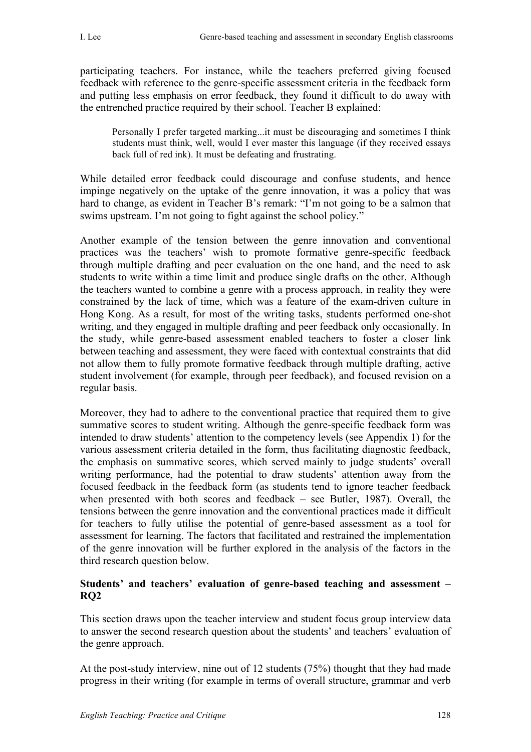participating teachers. For instance, while the teachers preferred giving focused feedback with reference to the genre-specific assessment criteria in the feedback form and putting less emphasis on error feedback, they found it difficult to do away with the entrenched practice required by their school. Teacher B explained:

Personally I prefer targeted marking...it must be discouraging and sometimes I think students must think, well, would I ever master this language (if they received essays back full of red ink). It must be defeating and frustrating.

While detailed error feedback could discourage and confuse students, and hence impinge negatively on the uptake of the genre innovation, it was a policy that was hard to change, as evident in Teacher B's remark: "I'm not going to be a salmon that swims upstream. I'm not going to fight against the school policy."

Another example of the tension between the genre innovation and conventional practices was the teachers' wish to promote formative genre-specific feedback through multiple drafting and peer evaluation on the one hand, and the need to ask students to write within a time limit and produce single drafts on the other. Although the teachers wanted to combine a genre with a process approach, in reality they were constrained by the lack of time, which was a feature of the exam-driven culture in Hong Kong. As a result, for most of the writing tasks, students performed one-shot writing, and they engaged in multiple drafting and peer feedback only occasionally. In the study, while genre-based assessment enabled teachers to foster a closer link between teaching and assessment, they were faced with contextual constraints that did not allow them to fully promote formative feedback through multiple drafting, active student involvement (for example, through peer feedback), and focused revision on a regular basis.

Moreover, they had to adhere to the conventional practice that required them to give summative scores to student writing. Although the genre-specific feedback form was intended to draw students' attention to the competency levels (see Appendix 1) for the various assessment criteria detailed in the form, thus facilitating diagnostic feedback, the emphasis on summative scores, which served mainly to judge students' overall writing performance, had the potential to draw students' attention away from the focused feedback in the feedback form (as students tend to ignore teacher feedback when presented with both scores and feedback – see Butler, 1987). Overall, the tensions between the genre innovation and the conventional practices made it difficult for teachers to fully utilise the potential of genre-based assessment as a tool for assessment for learning. The factors that facilitated and restrained the implementation of the genre innovation will be further explored in the analysis of the factors in the third research question below.

### **Students' and teachers' evaluation of genre-based teaching and assessment – RQ2**

This section draws upon the teacher interview and student focus group interview data to answer the second research question about the students' and teachers' evaluation of the genre approach.

At the post-study interview, nine out of 12 students (75%) thought that they had made progress in their writing (for example in terms of overall structure, grammar and verb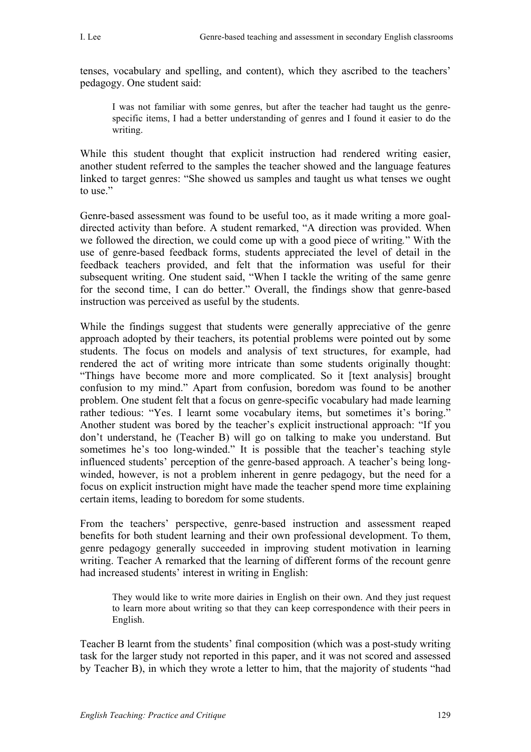tenses, vocabulary and spelling, and content), which they ascribed to the teachers' pedagogy. One student said:

I was not familiar with some genres, but after the teacher had taught us the genrespecific items, I had a better understanding of genres and I found it easier to do the writing.

While this student thought that explicit instruction had rendered writing easier, another student referred to the samples the teacher showed and the language features linked to target genres: "She showed us samples and taught us what tenses we ought to use."

Genre-based assessment was found to be useful too, as it made writing a more goaldirected activity than before. A student remarked, "A direction was provided. When we followed the direction, we could come up with a good piece of writing*.*" With the use of genre-based feedback forms, students appreciated the level of detail in the feedback teachers provided, and felt that the information was useful for their subsequent writing. One student said, "When I tackle the writing of the same genre for the second time, I can do better." Overall, the findings show that genre-based instruction was perceived as useful by the students.

While the findings suggest that students were generally appreciative of the genre approach adopted by their teachers, its potential problems were pointed out by some students. The focus on models and analysis of text structures, for example, had rendered the act of writing more intricate than some students originally thought: "Things have become more and more complicated. So it [text analysis] brought confusion to my mind." Apart from confusion, boredom was found to be another problem. One student felt that a focus on genre-specific vocabulary had made learning rather tedious: "Yes. I learnt some vocabulary items, but sometimes it's boring." Another student was bored by the teacher's explicit instructional approach: "If you don't understand, he (Teacher B) will go on talking to make you understand. But sometimes he's too long-winded." It is possible that the teacher's teaching style influenced students' perception of the genre-based approach. A teacher's being longwinded, however, is not a problem inherent in genre pedagogy, but the need for a focus on explicit instruction might have made the teacher spend more time explaining certain items, leading to boredom for some students.

From the teachers' perspective, genre-based instruction and assessment reaped benefits for both student learning and their own professional development. To them, genre pedagogy generally succeeded in improving student motivation in learning writing. Teacher A remarked that the learning of different forms of the recount genre had increased students' interest in writing in English:

They would like to write more dairies in English on their own. And they just request to learn more about writing so that they can keep correspondence with their peers in English.

Teacher B learnt from the students' final composition (which was a post-study writing task for the larger study not reported in this paper, and it was not scored and assessed by Teacher B), in which they wrote a letter to him, that the majority of students "had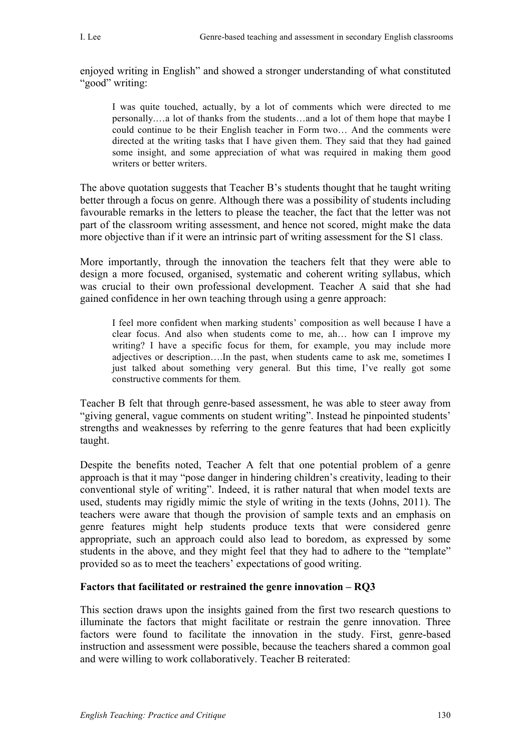enjoyed writing in English" and showed a stronger understanding of what constituted "good" writing:

I was quite touched, actually, by a lot of comments which were directed to me personally.…a lot of thanks from the students…and a lot of them hope that maybe I could continue to be their English teacher in Form two… And the comments were directed at the writing tasks that I have given them. They said that they had gained some insight, and some appreciation of what was required in making them good writers or better writers.

The above quotation suggests that Teacher B's students thought that he taught writing better through a focus on genre. Although there was a possibility of students including favourable remarks in the letters to please the teacher, the fact that the letter was not part of the classroom writing assessment, and hence not scored, might make the data more objective than if it were an intrinsic part of writing assessment for the S1 class.

More importantly, through the innovation the teachers felt that they were able to design a more focused, organised, systematic and coherent writing syllabus, which was crucial to their own professional development. Teacher A said that she had gained confidence in her own teaching through using a genre approach:

I feel more confident when marking students' composition as well because I have a clear focus. And also when students come to me, ah… how can I improve my writing? I have a specific focus for them, for example, you may include more adjectives or description….In the past, when students came to ask me, sometimes I just talked about something very general. But this time, I've really got some constructive comments for them*.*

Teacher B felt that through genre-based assessment, he was able to steer away from "giving general, vague comments on student writing". Instead he pinpointed students' strengths and weaknesses by referring to the genre features that had been explicitly taught.

Despite the benefits noted, Teacher A felt that one potential problem of a genre approach is that it may "pose danger in hindering children's creativity, leading to their conventional style of writing". Indeed, it is rather natural that when model texts are used, students may rigidly mimic the style of writing in the texts (Johns, 2011). The teachers were aware that though the provision of sample texts and an emphasis on genre features might help students produce texts that were considered genre appropriate, such an approach could also lead to boredom, as expressed by some students in the above, and they might feel that they had to adhere to the "template" provided so as to meet the teachers' expectations of good writing.

### **Factors that facilitated or restrained the genre innovation – RQ3**

This section draws upon the insights gained from the first two research questions to illuminate the factors that might facilitate or restrain the genre innovation. Three factors were found to facilitate the innovation in the study. First, genre-based instruction and assessment were possible, because the teachers shared a common goal and were willing to work collaboratively. Teacher B reiterated: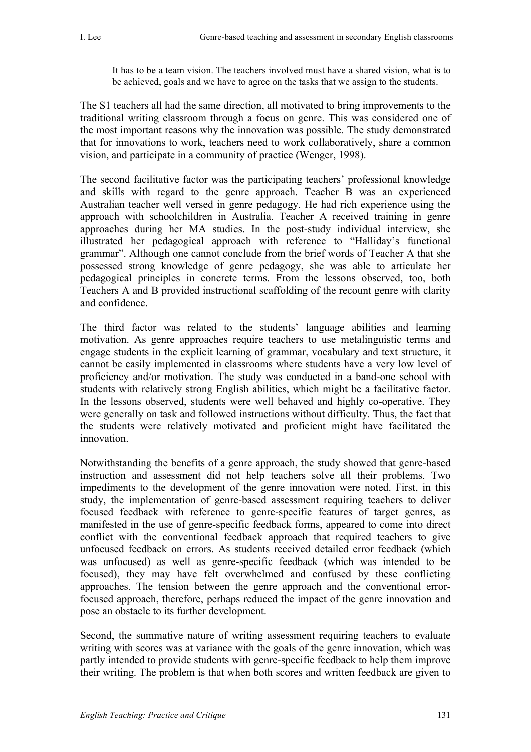It has to be a team vision. The teachers involved must have a shared vision, what is to be achieved, goals and we have to agree on the tasks that we assign to the students.

The S1 teachers all had the same direction, all motivated to bring improvements to the traditional writing classroom through a focus on genre. This was considered one of the most important reasons why the innovation was possible. The study demonstrated that for innovations to work, teachers need to work collaboratively, share a common vision, and participate in a community of practice (Wenger, 1998).

The second facilitative factor was the participating teachers' professional knowledge and skills with regard to the genre approach. Teacher B was an experienced Australian teacher well versed in genre pedagogy. He had rich experience using the approach with schoolchildren in Australia. Teacher A received training in genre approaches during her MA studies. In the post-study individual interview, she illustrated her pedagogical approach with reference to "Halliday's functional grammar". Although one cannot conclude from the brief words of Teacher A that she possessed strong knowledge of genre pedagogy, she was able to articulate her pedagogical principles in concrete terms. From the lessons observed, too, both Teachers A and B provided instructional scaffolding of the recount genre with clarity and confidence.

The third factor was related to the students' language abilities and learning motivation. As genre approaches require teachers to use metalinguistic terms and engage students in the explicit learning of grammar, vocabulary and text structure, it cannot be easily implemented in classrooms where students have a very low level of proficiency and/or motivation. The study was conducted in a band-one school with students with relatively strong English abilities, which might be a facilitative factor. In the lessons observed, students were well behaved and highly co-operative. They were generally on task and followed instructions without difficulty. Thus, the fact that the students were relatively motivated and proficient might have facilitated the innovation.

Notwithstanding the benefits of a genre approach, the study showed that genre-based instruction and assessment did not help teachers solve all their problems. Two impediments to the development of the genre innovation were noted. First, in this study, the implementation of genre-based assessment requiring teachers to deliver focused feedback with reference to genre-specific features of target genres, as manifested in the use of genre-specific feedback forms, appeared to come into direct conflict with the conventional feedback approach that required teachers to give unfocused feedback on errors. As students received detailed error feedback (which was unfocused) as well as genre-specific feedback (which was intended to be focused), they may have felt overwhelmed and confused by these conflicting approaches. The tension between the genre approach and the conventional errorfocused approach, therefore, perhaps reduced the impact of the genre innovation and pose an obstacle to its further development.

Second, the summative nature of writing assessment requiring teachers to evaluate writing with scores was at variance with the goals of the genre innovation, which was partly intended to provide students with genre-specific feedback to help them improve their writing. The problem is that when both scores and written feedback are given to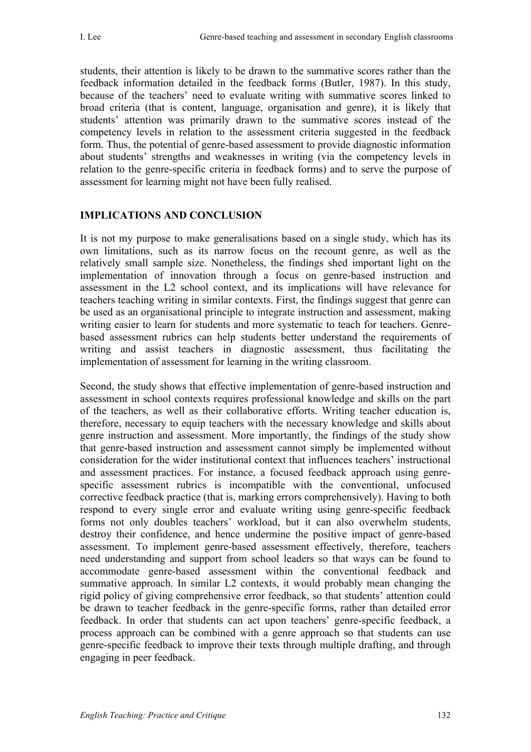students, their attention is likely to be drawn to the summative scores rather than the feedback information detailed in the feedback forms (Butler, 1987). In this study, because of the teachers' need to evaluate writing with summative scores linked to broad criteria (that is content, language, organisation and genre), it is likely that students' attention was primarily drawn to the summative scores instead of the competency levels in relation to the assessment criteria suggested in the feedback form. Thus, the potential of genre-based assessment to provide diagnostic information about students' strengths and weaknesses in writing (via the competency levels in relation to the genre-specific criteria in feedback forms) and to serve the purpose of assessment for learning might not have been fully realised.

# **IMPLICATIONS AND CONCLUSION**

It is not my purpose to make generalisations based on a single study, which has its own limitations, such as its narrow focus on the recount genre, as well as the relatively small sample size. Nonetheless, the findings shed important light on the implementation of innovation through a focus on genre-based instruction and assessment in the L2 school context, and its implications will have relevance for teachers teaching writing in similar contexts. First, the findings suggest that genre can be used as an organisational principle to integrate instruction and assessment, making writing easier to learn for students and more systematic to teach for teachers. Genrebased assessment rubrics can help students better understand the requirements of writing and assist teachers in diagnostic assessment, thus facilitating the implementation of assessment for learning in the writing classroom.

Second, the study shows that effective implementation of genre-based instruction and assessment in school contexts requires professional knowledge and skills on the part of the teachers, as well as their collaborative efforts. Writing teacher education is, therefore, necessary to equip teachers with the necessary knowledge and skills about genre instruction and assessment. More importantly, the findings of the study show that genre-based instruction and assessment cannot simply be implemented without consideration for the wider institutional context that influences teachers' instructional and assessment practices. For instance, a focused feedback approach using genrespecific assessment rubrics is incompatible with the conventional, unfocused corrective feedback practice (that is, marking errors comprehensively). Having to both respond to every single error and evaluate writing using genre-specific feedback forms not only doubles teachers' workload, but it can also overwhelm students, destroy their confidence, and hence undermine the positive impact of genre-based assessment. To implement genre-based assessment effectively, therefore, teachers need understanding and support from school leaders so that ways can be found to accommodate genre-based assessment within the conventional feedback and summative approach. In similar L2 contexts, it would probably mean changing the rigid policy of giving comprehensive error feedback, so that students' attention could be drawn to teacher feedback in the genre-specific forms, rather than detailed error feedback. In order that students can act upon teachers' genre-specific feedback, a process approach can be combined with a genre approach so that students can use genre-specific feedback to improve their texts through multiple drafting, and through engaging in peer feedback.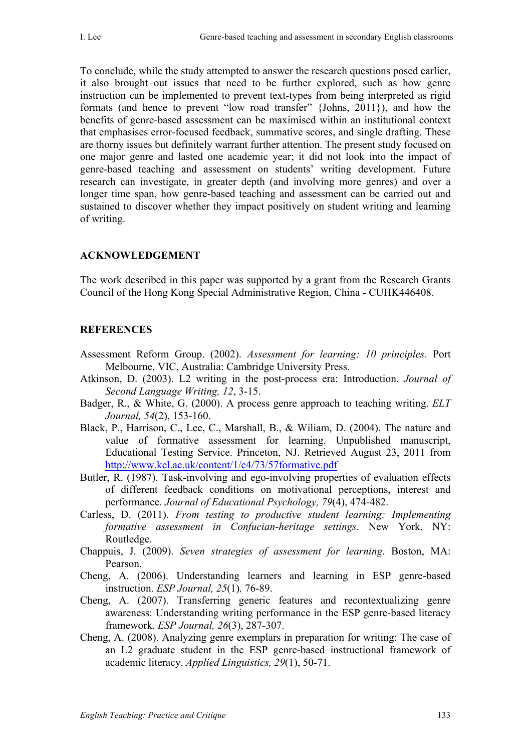To conclude, while the study attempted to answer the research questions posed earlier, it also brought out issues that need to be further explored, such as how genre instruction can be implemented to prevent text-types from being interpreted as rigid formats (and hence to prevent "low road transfer" {Johns, 2011}), and how the benefits of genre-based assessment can be maximised within an institutional context that emphasises error-focused feedback, summative scores, and single drafting. These are thorny issues but definitely warrant further attention. The present study focused on one major genre and lasted one academic year; it did not look into the impact of genre-based teaching and assessment on students' writing development. Future research can investigate, in greater depth (and involving more genres) and over a longer time span, how genre-based teaching and assessment can be carried out and sustained to discover whether they impact positively on student writing and learning of writing.

#### **ACKNOWLEDGEMENT**

The work described in this paper was supported by a grant from the Research Grants Council of the Hong Kong Special Administrative Region, China - CUHK446408.

#### **REFERENCES**

- Assessment Reform Group. (2002). *Assessment for learning: 10 principles.* Port Melbourne, VIC, Australia: Cambridge University Press.
- Atkinson, D. (2003). L2 writing in the post-process era: Introduction. *Journal of Second Language Writing, 12*, 3-15.
- Badger, R., & White, G. (2000). A process genre approach to teaching writing. *ELT Journal, 54*(2), 153-160.
- Black, P., Harrison, C., Lee, C., Marshall, B., & Wiliam, D. (2004). The nature and value of formative assessment for learning. Unpublished manuscript, Educational Testing Service. Princeton, NJ. Retrieved August 23, 2011 from http://www.kcl.ac.uk/content/1/c4/73/57formative.pdf
- Butler, R. (1987). Task-involving and ego-involving properties of evaluation effects of different feedback conditions on motivational perceptions, interest and performance. *Journal of Educational Psychology, 79*(4), 474-482.
- Carless, D. (2011). *From testing to productive student learning: Implementing formative assessment in Confucian-heritage settings*. New York, NY: Routledge.
- Chappuis, J. (2009). *Seven strategies of assessment for learning*. Boston, MA: Pearson.
- Cheng, A. (2006). Understanding learners and learning in ESP genre-based instruction. *ESP Journal, 25*(1)*,* 76-89.
- Cheng, A. (2007). Transferring generic features and recontextualizing genre awareness: Understanding writing performance in the ESP genre-based literacy framework. *ESP Journal, 26*(3), 287-307.
- Cheng, A. (2008). Analyzing genre exemplars in preparation for writing: The case of an L2 graduate student in the ESP genre-based instructional framework of academic literacy. *Applied Linguistics, 29*(1), 50-71.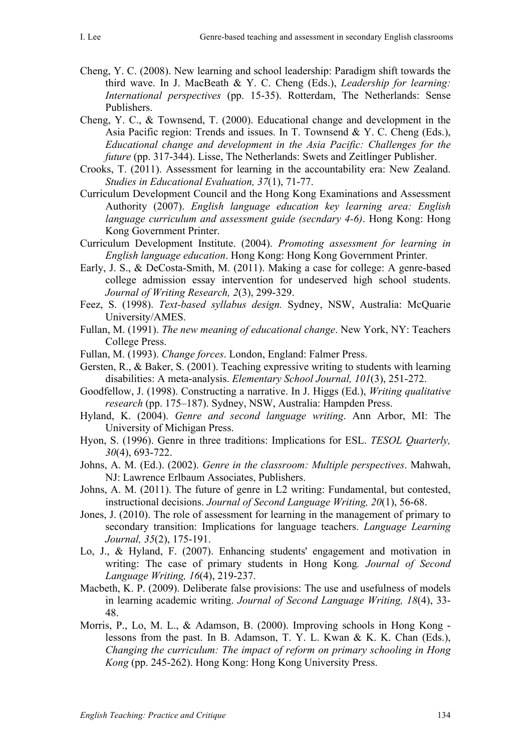- Cheng, Y. C. (2008). New learning and school leadership: Paradigm shift towards the third wave. In J. MacBeath & Y. C. Cheng (Eds.), *Leadership for learning: International perspectives* (pp. 15-35). Rotterdam, The Netherlands: Sense Publishers.
- Cheng, Y. C., & Townsend, T. (2000). Educational change and development in the Asia Pacific region: Trends and issues. In T. Townsend & Y. C. Cheng (Eds.), *Educational change and development in the Asia Pacific: Challenges for the future* (pp. 317-344). Lisse, The Netherlands: Swets and Zeitlinger Publisher.
- Crooks, T. (2011). Assessment for learning in the accountability era: New Zealand. *Studies in Educational Evaluation, 37*(1), 71-77.
- Curriculum Development Council and the Hong Kong Examinations and Assessment Authority (2007). *English language education key learning area: English language curriculum and assessment guide (secndary 4-6)*. Hong Kong: Hong Kong Government Printer.
- Curriculum Development Institute. (2004). *Promoting assessment for learning in English language education*. Hong Kong: Hong Kong Government Printer.
- Early, J. S., & DeCosta-Smith, M. (2011). Making a case for college: A genre-based college admission essay intervention for undeserved high school students. *Journal of Writing Research, 2*(3), 299-329.
- Feez, S. (1998). *Text-based syllabus design.* Sydney, NSW, Australia: McQuarie University/AMES.
- Fullan, M. (1991). *The new meaning of educational change*. New York, NY: Teachers College Press.
- Fullan, M. (1993). *Change forces*. London, England: Falmer Press.
- Gersten, R., & Baker, S. (2001). Teaching expressive writing to students with learning disabilities: A meta-analysis. *Elementary School Journal, 101*(3), 251-272.
- Goodfellow, J. (1998). Constructing a narrative. In J. Higgs (Ed.), *Writing qualitative research* (pp. 175–187). Sydney, NSW, Australia: Hampden Press.
- Hyland, K. (2004). *Genre and second language writing*. Ann Arbor, MI: The University of Michigan Press.
- Hyon, S. (1996). Genre in three traditions: Implications for ESL. *TESOL Quarterly, 30*(4), 693-722.
- Johns, A. M. (Ed.). (2002). *Genre in the classroom: Multiple perspectives*. Mahwah, NJ: Lawrence Erlbaum Associates, Publishers.
- Johns, A. M. (2011). The future of genre in L2 writing: Fundamental, but contested, instructional decisions. *Journal of Second Language Writing, 20*(1), 56-68.
- Jones, J. (2010). The role of assessment for learning in the management of primary to secondary transition: Implications for language teachers. *Language Learning Journal, 35*(2), 175-191.
- Lo, J., & Hyland, F. (2007). Enhancing students' engagement and motivation in writing: The case of primary students in Hong Kong*. Journal of Second Language Writing, 16*(4), 219-237.
- Macbeth, K. P. (2009). Deliberate false provisions: The use and usefulness of models in learning academic writing. *Journal of Second Language Writing, 18*(4), 33- 48.
- Morris, P., Lo, M. L., & Adamson, B. (2000). Improving schools in Hong Kong lessons from the past. In B. Adamson, T. Y. L. Kwan & K. K. Chan (Eds.), *Changing the curriculum: The impact of reform on primary schooling in Hong Kong* (pp. 245-262). Hong Kong: Hong Kong University Press.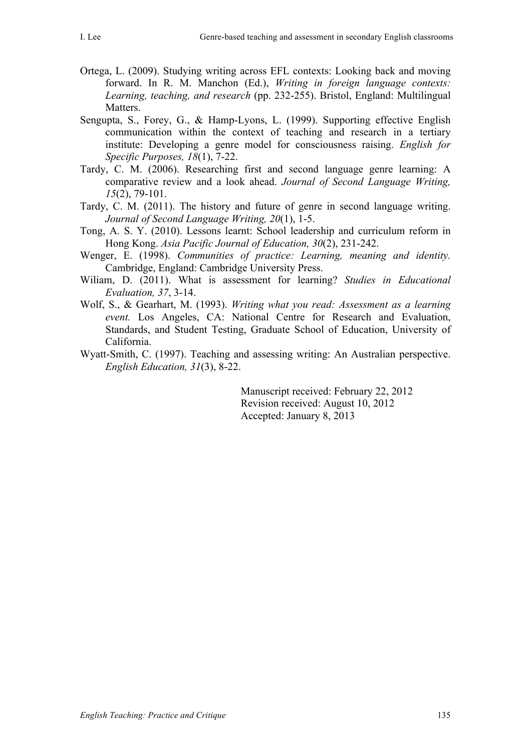- Ortega, L. (2009). Studying writing across EFL contexts: Looking back and moving forward. In R. M. Manchon (Ed.), *Writing in foreign language contexts: Learning, teaching, and research* (pp. 232-255). Bristol, England: Multilingual Matters.
- Sengupta, S., Forey, G., & Hamp-Lyons, L. (1999). Supporting effective English communication within the context of teaching and research in a tertiary institute: Developing a genre model for consciousness raising. *English for Specific Purposes, 18*(1), 7-22.
- Tardy, C. M. (2006). Researching first and second language genre learning: A comparative review and a look ahead. *Journal of Second Language Writing, 15*(2), 79-101.
- Tardy, C. M. (2011). The history and future of genre in second language writing. *Journal of Second Language Writing, 20*(1), 1-5.
- Tong, A. S. Y. (2010). Lessons learnt: School leadership and curriculum reform in Hong Kong. *Asia Pacific Journal of Education, 30*(2), 231-242.
- Wenger, E. (1998). *Communities of practice: Learning, meaning and identity.*  Cambridge, England: Cambridge University Press.
- Wiliam, D. (2011). What is assessment for learning? *Studies in Educational Evaluation, 37*, 3-14.
- Wolf, S., & Gearhart, M. (1993). *Writing what you read: Assessment as a learning event.* Los Angeles, CA: National Centre for Research and Evaluation, Standards, and Student Testing, Graduate School of Education, University of California.
- Wyatt-Smith, C. (1997). Teaching and assessing writing: An Australian perspective. *English Education, 31*(3), 8-22.

Manuscript received: February 22, 2012 Revision received: August 10, 2012 Accepted: January 8, 2013